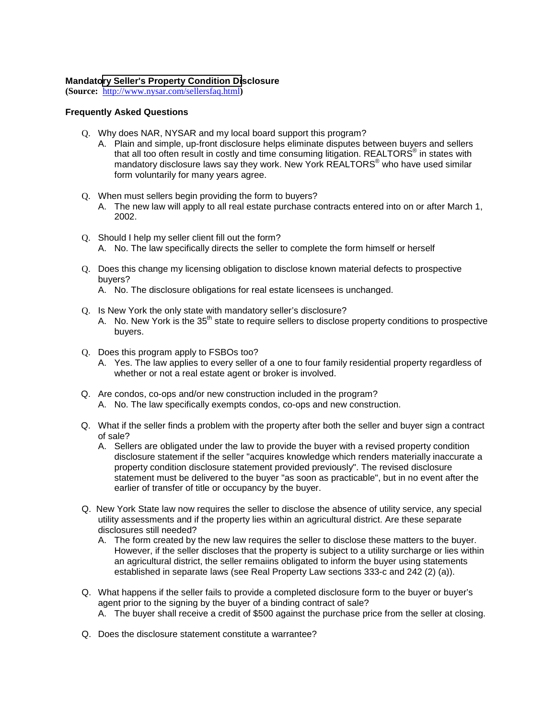## **Mandat[ory Seller's Property Condition Di](http://www.nysar.com/sellersfaq.html)sclosure**

**(Source:** http://www.nysar.com/sellersfaq.html**)**

## **Frequently Asked Questions**

- Q. Why does NAR, NYSAR and my local board support this program?
	- A. Plain and simple, up-front disclosure helps eliminate disputes between buyers and sellers that all too often result in costly and time consuming litigation. REALTORS<sup>®</sup> in states with mandatory disclosure laws say they work. New York  $\mathsf{REALTORS}^\circ$  who have used similar form voluntarily for many years agree.
- Q. When must sellers begin providing the form to buyers?
	- A. The new law will apply to all real estate purchase contracts entered into on or after March 1, 2002.
- Q. Should I help my seller client fill out the form? A. No. The law specifically directs the seller to complete the form himself or herself
- Q. Does this change my licensing obligation to disclose known material defects to prospective buyers?
	- A. No. The disclosure obligations for real estate licensees is unchanged.
- Q. Is New York the only state with mandatory seller's disclosure? A. No. New York is the 35<sup>th</sup> state to require sellers to disclose property conditions to prospective buyers.
- Q. Does this program apply to FSBOs too?
	- A. Yes. The law applies to every seller of a one to four family residential property regardless of whether or not a real estate agent or broker is involved.
- Q. Are condos, co-ops and/or new construction included in the program? A. No. The law specifically exempts condos, co-ops and new construction.
- Q. What if the seller finds a problem with the property after both the seller and buyer sign a contract of sale?
	- A. Sellers are obligated under the law to provide the buyer with a revised property condition disclosure statement if the seller "acquires knowledge which renders materially inaccurate a property condition disclosure statement provided previously". The revised disclosure statement must be delivered to the buyer "as soon as practicable", but in no event after the earlier of transfer of title or occupancy by the buyer.
- Q. New York State law now requires the seller to disclose the absence of utility service, any special utility assessments and if the property lies within an agricultural district. Are these separate disclosures still needed?
	- A. The form created by the new law requires the seller to disclose these matters to the buyer. However, if the seller discloses that the property is subject to a utility surcharge or lies within an agricultural district, the seller remaiins obligated to inform the buyer using statements established in separate laws (see Real Property Law sections 333-c and 242 (2) (a)).
- Q. What happens if the seller fails to provide a completed disclosure form to the buyer or buyer's agent prior to the signing by the buyer of a binding contract of sale?
	- A. The buyer shall receive a credit of \$500 against the purchase price from the seller at closing.
- Q. Does the disclosure statement constitute a warrantee?